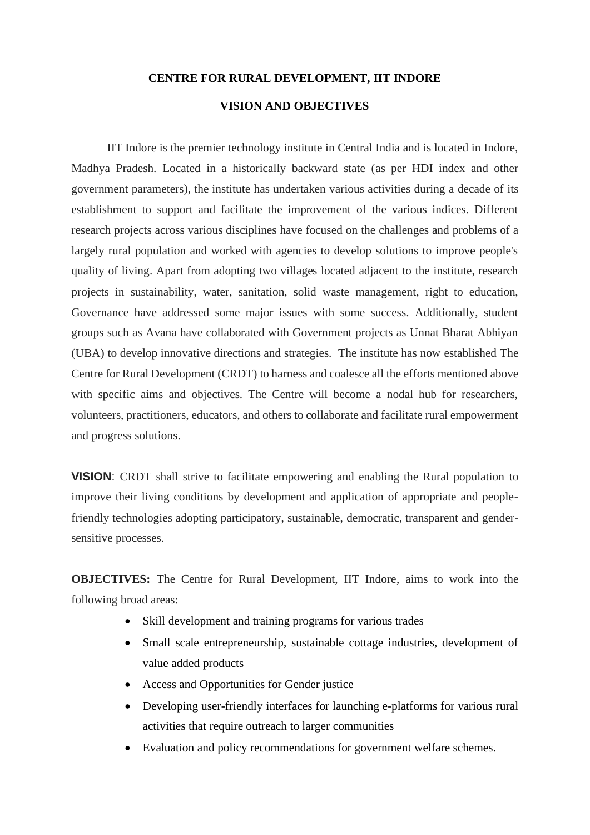## **CENTRE FOR RURAL DEVELOPMENT, IIT INDORE**

## **VISION AND OBJECTIVES**

IIT Indore is the premier technology institute in Central India and is located in Indore, Madhya Pradesh. Located in a historically backward state (as per HDI index and other government parameters), the institute has undertaken various activities during a decade of its establishment to support and facilitate the improvement of the various indices. Different research projects across various disciplines have focused on the challenges and problems of a largely rural population and worked with agencies to develop solutions to improve people's quality of living. Apart from adopting two villages located adjacent to the institute, research projects in sustainability, water, sanitation, solid waste management, right to education, Governance have addressed some major issues with some success. Additionally, student groups such as Avana have collaborated with Government projects as Unnat Bharat Abhiyan (UBA) to develop innovative directions and strategies. The institute has now established The Centre for Rural Development (CRDT) to harness and coalesce all the efforts mentioned above with specific aims and objectives. The Centre will become a nodal hub for researchers, volunteers, practitioners, educators, and others to collaborate and facilitate rural empowerment and progress solutions.

**VISION**: CRDT shall strive to facilitate empowering and enabling the Rural population to improve their living conditions by development and application of appropriate and peoplefriendly technologies adopting participatory, sustainable, democratic, transparent and gendersensitive processes.

**OBJECTIVES:** The Centre for Rural Development, IIT Indore, aims to work into the following broad areas:

- Skill development and training programs for various trades
- Small scale entrepreneurship, sustainable cottage industries, development of value added products
- Access and Opportunities for Gender justice
- Developing user-friendly interfaces for launching e-platforms for various rural activities that require outreach to larger communities
- Evaluation and policy recommendations for government welfare schemes.